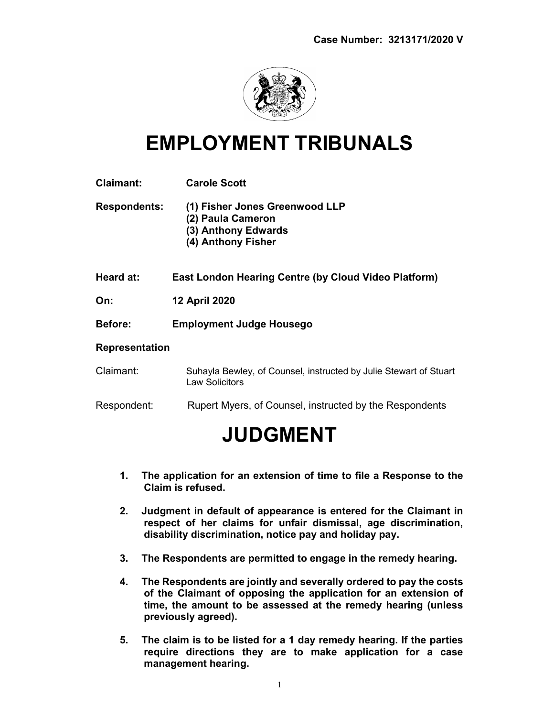

## EMPLOYMENT TRIBUNALS

| <b>Claimant:</b>      | <b>Carole Scott</b>                                                                              |
|-----------------------|--------------------------------------------------------------------------------------------------|
| <b>Respondents:</b>   | (1) Fisher Jones Greenwood LLP<br>(2) Paula Cameron<br>(3) Anthony Edwards<br>(4) Anthony Fisher |
| Heard at:             | <b>East London Hearing Centre (by Cloud Video Platform)</b>                                      |
| On:                   | <b>12 April 2020</b>                                                                             |
| <b>Before:</b>        | <b>Employment Judge Housego</b>                                                                  |
| <b>Representation</b> |                                                                                                  |
| Claimant:             | Suhayla Bewley, of Counsel, instructed by Julie Stewart of Stuart<br><b>Law Solicitors</b>       |
| Respondent:           | Rupert Myers, of Counsel, instructed by the Respondents                                          |
|                       | <b>JUDGMENT</b>                                                                                  |

- 1. The application for an extension of time to file a Response to the Claim is refused.
- 2. Judgment in default of appearance is entered for the Claimant in respect of her claims for unfair dismissal, age discrimination, disability discrimination, notice pay and holiday pay.
- 3. The Respondents are permitted to engage in the remedy hearing.
- 4. The Respondents are jointly and severally ordered to pay the costs of the Claimant of opposing the application for an extension of time, the amount to be assessed at the remedy hearing (unless previously agreed).
- 5. The claim is to be listed for a 1 day remedy hearing. If the parties require directions they are to make application for a case management hearing.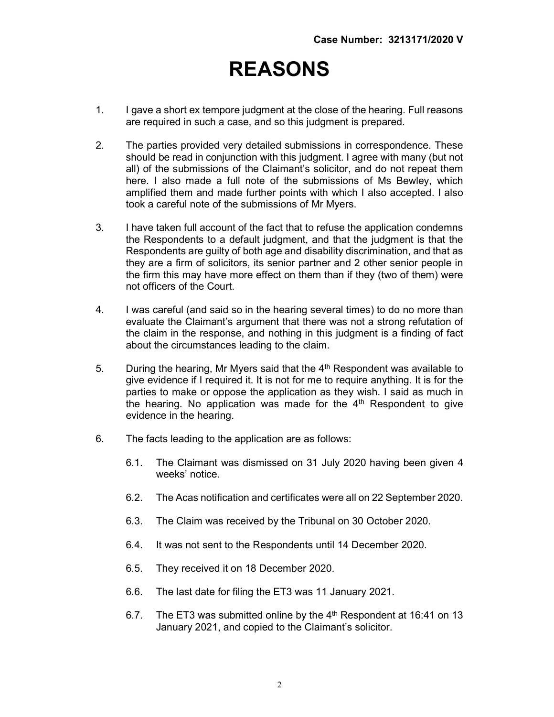## REASONS

- 1. I gave a short ex tempore judgment at the close of the hearing. Full reasons are required in such a case, and so this judgment is prepared.
- 2. The parties provided very detailed submissions in correspondence. These should be read in conjunction with this judgment. I agree with many (but not all) of the submissions of the Claimant's solicitor, and do not repeat them here. I also made a full note of the submissions of Ms Bewley, which amplified them and made further points with which I also accepted. I also took a careful note of the submissions of Mr Myers.
- 3. I have taken full account of the fact that to refuse the application condemns the Respondents to a default judgment, and that the judgment is that the Respondents are guilty of both age and disability discrimination, and that as they are a firm of solicitors, its senior partner and 2 other senior people in the firm this may have more effect on them than if they (two of them) were not officers of the Court.
- 4. I was careful (and said so in the hearing several times) to do no more than evaluate the Claimant's argument that there was not a strong refutation of the claim in the response, and nothing in this judgment is a finding of fact about the circumstances leading to the claim.
- 5. During the hearing, Mr Myers said that the  $4<sup>th</sup>$  Respondent was available to give evidence if I required it. It is not for me to require anything. It is for the parties to make or oppose the application as they wish. I said as much in the hearing. No application was made for the  $4<sup>th</sup>$  Respondent to give evidence in the hearing.
- 6. The facts leading to the application are as follows:
	- 6.1. The Claimant was dismissed on 31 July 2020 having been given 4 weeks' notice.
	- 6.2. The Acas notification and certificates were all on 22 September 2020.
	- 6.3. The Claim was received by the Tribunal on 30 October 2020.
	- 6.4. It was not sent to the Respondents until 14 December 2020.
	- 6.5. They received it on 18 December 2020.
	- 6.6. The last date for filing the ET3 was 11 January 2021.
	- 6.7. The ET3 was submitted online by the  $4<sup>th</sup>$  Respondent at 16:41 on 13 January 2021, and copied to the Claimant's solicitor.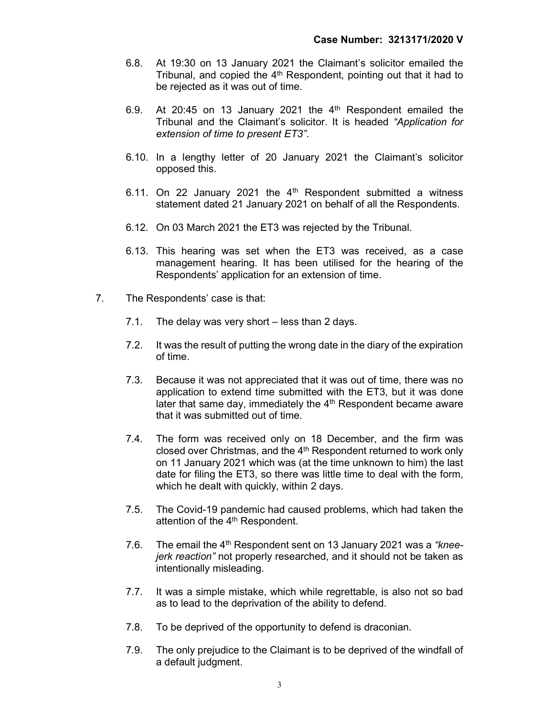- 6.8. At 19:30 on 13 January 2021 the Claimant's solicitor emailed the Tribunal, and copied the 4<sup>th</sup> Respondent, pointing out that it had to be rejected as it was out of time.
- 6.9. At 20:45 on 13 January 2021 the  $4<sup>th</sup>$  Respondent emailed the Tribunal and the Claimant's solicitor. It is headed "Application for extension of time to present ET3".
- 6.10. In a lengthy letter of 20 January 2021 the Claimant's solicitor opposed this.
- 6.11. On 22 January 2021 the  $4<sup>th</sup>$  Respondent submitted a witness statement dated 21 January 2021 on behalf of all the Respondents.
- 6.12. On 03 March 2021 the ET3 was rejected by the Tribunal.
- 6.13. This hearing was set when the ET3 was received, as a case management hearing. It has been utilised for the hearing of the Respondents' application for an extension of time.
- 7. The Respondents' case is that:
	- 7.1. The delay was very short less than 2 days.
	- 7.2. It was the result of putting the wrong date in the diary of the expiration of time.
	- 7.3. Because it was not appreciated that it was out of time, there was no application to extend time submitted with the ET3, but it was done later that same day, immediately the 4<sup>th</sup> Respondent became aware that it was submitted out of time.
	- 7.4. The form was received only on 18 December, and the firm was closed over Christmas, and the 4<sup>th</sup> Respondent returned to work only on 11 January 2021 which was (at the time unknown to him) the last date for filing the ET3, so there was little time to deal with the form, which he dealt with quickly, within 2 days.
	- 7.5. The Covid-19 pandemic had caused problems, which had taken the attention of the 4<sup>th</sup> Respondent.
	- 7.6. The email the  $4<sup>th</sup>$  Respondent sent on 13 January 2021 was a "kneejerk reaction" not properly researched, and it should not be taken as intentionally misleading.
	- 7.7. It was a simple mistake, which while regrettable, is also not so bad as to lead to the deprivation of the ability to defend.
	- 7.8. To be deprived of the opportunity to defend is draconian.
	- 7.9. The only prejudice to the Claimant is to be deprived of the windfall of a default judgment.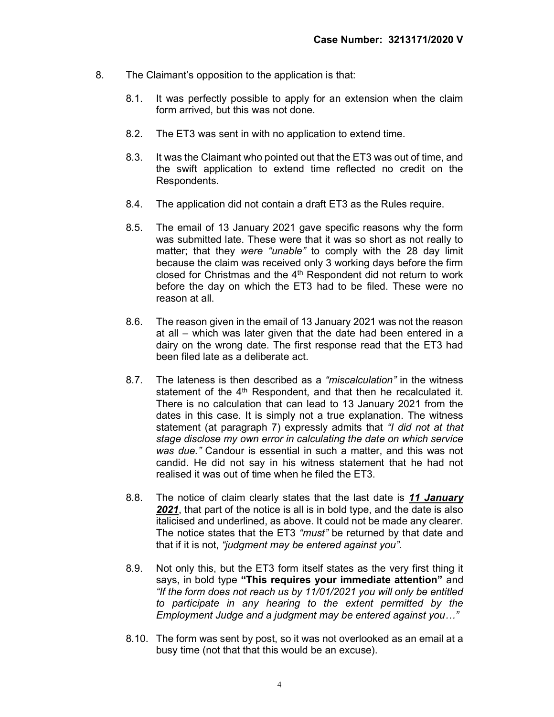- 8. The Claimant's opposition to the application is that:
	- 8.1. It was perfectly possible to apply for an extension when the claim form arrived, but this was not done.
	- 8.2. The ET3 was sent in with no application to extend time.
	- 8.3. It was the Claimant who pointed out that the ET3 was out of time, and the swift application to extend time reflected no credit on the Respondents.
	- 8.4. The application did not contain a draft ET3 as the Rules require.
	- 8.5. The email of 13 January 2021 gave specific reasons why the form was submitted late. These were that it was so short as not really to matter; that they were "unable" to comply with the 28 day limit because the claim was received only 3 working days before the firm closed for Christmas and the  $4<sup>th</sup>$  Respondent did not return to work before the day on which the ET3 had to be filed. These were no reason at all.
	- 8.6. The reason given in the email of 13 January 2021 was not the reason at all – which was later given that the date had been entered in a dairy on the wrong date. The first response read that the ET3 had been filed late as a deliberate act.
	- 8.7. The lateness is then described as a "miscalculation" in the witness statement of the 4<sup>th</sup> Respondent, and that then he recalculated it. There is no calculation that can lead to 13 January 2021 from the dates in this case. It is simply not a true explanation. The witness statement (at paragraph 7) expressly admits that "I did not at that stage disclose my own error in calculating the date on which service was due." Candour is essential in such a matter, and this was not candid. He did not say in his witness statement that he had not realised it was out of time when he filed the ET3.
	- 8.8. The notice of claim clearly states that the last date is 11 January 2021, that part of the notice is all is in bold type, and the date is also italicised and underlined, as above. It could not be made any clearer. The notice states that the ET3 "must" be returned by that date and that if it is not, "judgment may be entered against you".
	- 8.9. Not only this, but the ET3 form itself states as the very first thing it says, in bold type "This requires your immediate attention" and "If the form does not reach us by 11/01/2021 you will only be entitled to participate in any hearing to the extent permitted by the Employment Judge and a judgment may be entered against you…"
	- 8.10. The form was sent by post, so it was not overlooked as an email at a busy time (not that that this would be an excuse).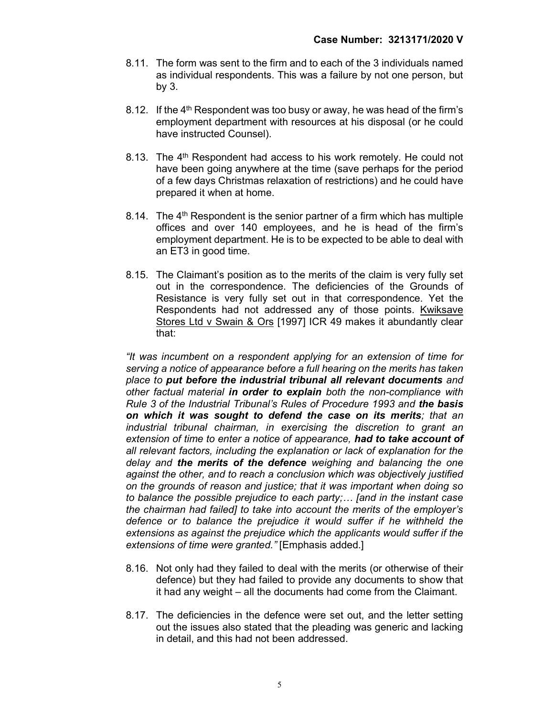- 8.11. The form was sent to the firm and to each of the 3 individuals named as individual respondents. This was a failure by not one person, but by 3.
- 8.12. If the  $4<sup>th</sup>$  Respondent was too busy or away, he was head of the firm's employment department with resources at his disposal (or he could have instructed Counsel).
- 8.13. The 4<sup>th</sup> Respondent had access to his work remotely. He could not have been going anywhere at the time (save perhaps for the period of a few days Christmas relaxation of restrictions) and he could have prepared it when at home.
- 8.14. The 4<sup>th</sup> Respondent is the senior partner of a firm which has multiple offices and over 140 employees, and he is head of the firm's employment department. He is to be expected to be able to deal with an ET3 in good time.
- 8.15. The Claimant's position as to the merits of the claim is very fully set out in the correspondence. The deficiencies of the Grounds of Resistance is very fully set out in that correspondence. Yet the Respondents had not addressed any of those points. Kwiksave Stores Ltd v Swain & Ors [1997] ICR 49 makes it abundantly clear that:

"It was incumbent on a respondent applying for an extension of time for serving a notice of appearance before a full hearing on the merits has taken place to put before the industrial tribunal all relevant documents and other factual material in order to explain both the non-compliance with Rule 3 of the Industrial Tribunal's Rules of Procedure 1993 and the basis on which it was sought to defend the case on its merits; that an industrial tribunal chairman, in exercising the discretion to grant an extension of time to enter a notice of appearance, had to take account of all relevant factors, including the explanation or lack of explanation for the delay and the merits of the defence weighing and balancing the one against the other, and to reach a conclusion which was objectively justified on the grounds of reason and justice; that it was important when doing so to balance the possible prejudice to each party;… [and in the instant case the chairman had failed] to take into account the merits of the employer's defence or to balance the prejudice it would suffer if he withheld the extensions as against the prejudice which the applicants would suffer if the extensions of time were granted." [Emphasis added.]

- 8.16. Not only had they failed to deal with the merits (or otherwise of their defence) but they had failed to provide any documents to show that it had any weight – all the documents had come from the Claimant.
- 8.17. The deficiencies in the defence were set out, and the letter setting out the issues also stated that the pleading was generic and lacking in detail, and this had not been addressed.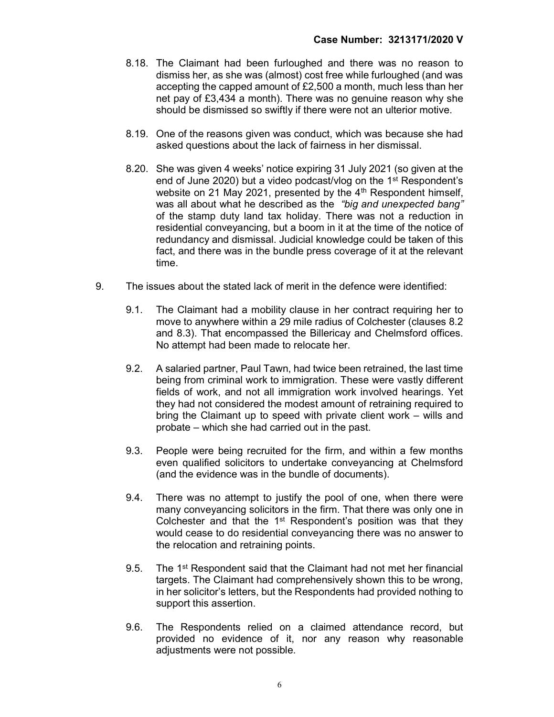- 8.18. The Claimant had been furloughed and there was no reason to dismiss her, as she was (almost) cost free while furloughed (and was accepting the capped amount of £2,500 a month, much less than her net pay of £3,434 a month). There was no genuine reason why she should be dismissed so swiftly if there were not an ulterior motive.
- 8.19. One of the reasons given was conduct, which was because she had asked questions about the lack of fairness in her dismissal.
- 8.20. She was given 4 weeks' notice expiring 31 July 2021 (so given at the end of June 2020) but a video podcast/vlog on the 1st Respondent's website on 21 May 2021, presented by the 4<sup>th</sup> Respondent himself, was all about what he described as the "big and unexpected bang" of the stamp duty land tax holiday. There was not a reduction in residential conveyancing, but a boom in it at the time of the notice of redundancy and dismissal. Judicial knowledge could be taken of this fact, and there was in the bundle press coverage of it at the relevant time.
- 9. The issues about the stated lack of merit in the defence were identified:
	- 9.1. The Claimant had a mobility clause in her contract requiring her to move to anywhere within a 29 mile radius of Colchester (clauses 8.2 and 8.3). That encompassed the Billericay and Chelmsford offices. No attempt had been made to relocate her.
	- 9.2. A salaried partner, Paul Tawn, had twice been retrained, the last time being from criminal work to immigration. These were vastly different fields of work, and not all immigration work involved hearings. Yet they had not considered the modest amount of retraining required to bring the Claimant up to speed with private client work – wills and probate – which she had carried out in the past.
	- 9.3. People were being recruited for the firm, and within a few months even qualified solicitors to undertake conveyancing at Chelmsford (and the evidence was in the bundle of documents).
	- 9.4. There was no attempt to justify the pool of one, when there were many conveyancing solicitors in the firm. That there was only one in Colchester and that the  $1<sup>st</sup>$  Respondent's position was that they would cease to do residential conveyancing there was no answer to the relocation and retraining points.
	- 9.5. The 1<sup>st</sup> Respondent said that the Claimant had not met her financial targets. The Claimant had comprehensively shown this to be wrong, in her solicitor's letters, but the Respondents had provided nothing to support this assertion.
	- 9.6. The Respondents relied on a claimed attendance record, but provided no evidence of it, nor any reason why reasonable adjustments were not possible.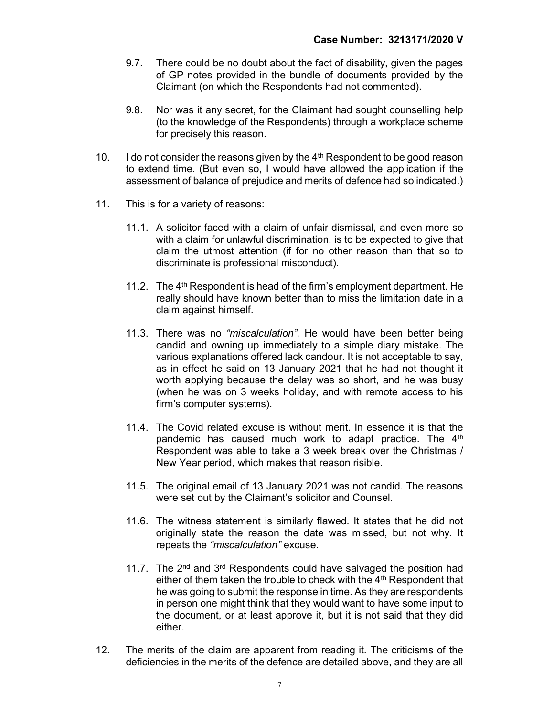- 9.7. There could be no doubt about the fact of disability, given the pages of GP notes provided in the bundle of documents provided by the Claimant (on which the Respondents had not commented).
- 9.8. Nor was it any secret, for the Claimant had sought counselling help (to the knowledge of the Respondents) through a workplace scheme for precisely this reason.
- 10. I do not consider the reasons given by the  $4<sup>th</sup>$  Respondent to be good reason to extend time. (But even so, I would have allowed the application if the assessment of balance of prejudice and merits of defence had so indicated.)
- 11. This is for a variety of reasons:
	- 11.1. A solicitor faced with a claim of unfair dismissal, and even more so with a claim for unlawful discrimination, is to be expected to give that claim the utmost attention (if for no other reason than that so to discriminate is professional misconduct).
	- 11.2. The  $4<sup>th</sup>$  Respondent is head of the firm's employment department. He really should have known better than to miss the limitation date in a claim against himself.
	- 11.3. There was no "miscalculation". He would have been better being candid and owning up immediately to a simple diary mistake. The various explanations offered lack candour. It is not acceptable to say, as in effect he said on 13 January 2021 that he had not thought it worth applying because the delay was so short, and he was busy (when he was on 3 weeks holiday, and with remote access to his firm's computer systems).
	- 11.4. The Covid related excuse is without merit. In essence it is that the pandemic has caused much work to adapt practice. The 4<sup>th</sup> Respondent was able to take a 3 week break over the Christmas / New Year period, which makes that reason risible.
	- 11.5. The original email of 13 January 2021 was not candid. The reasons were set out by the Claimant's solicitor and Counsel.
	- 11.6. The witness statement is similarly flawed. It states that he did not originally state the reason the date was missed, but not why. It repeats the "miscalculation" excuse.
	- 11.7. The 2<sup>nd</sup> and 3<sup>rd</sup> Respondents could have salvaged the position had either of them taken the trouble to check with the 4<sup>th</sup> Respondent that he was going to submit the response in time. As they are respondents in person one might think that they would want to have some input to the document, or at least approve it, but it is not said that they did either.
- 12. The merits of the claim are apparent from reading it. The criticisms of the deficiencies in the merits of the defence are detailed above, and they are all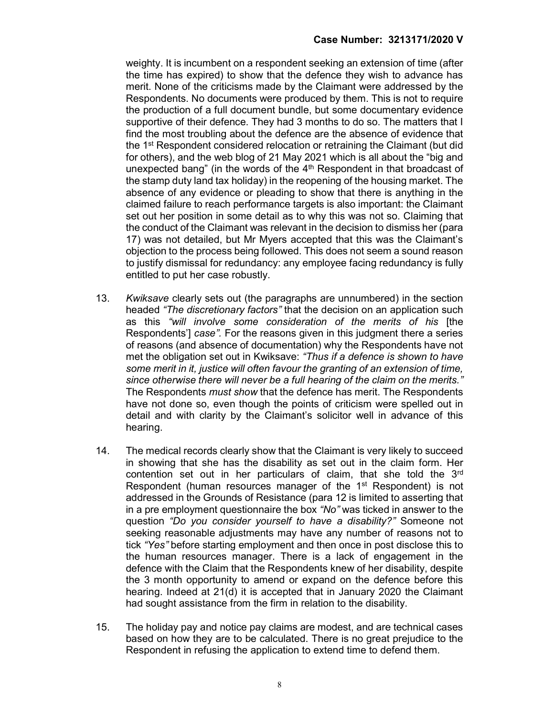weighty. It is incumbent on a respondent seeking an extension of time (after the time has expired) to show that the defence they wish to advance has merit. None of the criticisms made by the Claimant were addressed by the Respondents. No documents were produced by them. This is not to require the production of a full document bundle, but some documentary evidence supportive of their defence. They had 3 months to do so. The matters that I find the most troubling about the defence are the absence of evidence that the 1st Respondent considered relocation or retraining the Claimant (but did for others), and the web blog of 21 May 2021 which is all about the "big and unexpected bang" (in the words of the  $4<sup>th</sup>$  Respondent in that broadcast of the stamp duty land tax holiday) in the reopening of the housing market. The absence of any evidence or pleading to show that there is anything in the claimed failure to reach performance targets is also important: the Claimant set out her position in some detail as to why this was not so. Claiming that the conduct of the Claimant was relevant in the decision to dismiss her (para 17) was not detailed, but Mr Myers accepted that this was the Claimant's objection to the process being followed. This does not seem a sound reason to justify dismissal for redundancy: any employee facing redundancy is fully entitled to put her case robustly.

- 13. Kwiksave clearly sets out (the paragraphs are unnumbered) in the section headed "The discretionary factors" that the decision on an application such as this "will involve some consideration of the merits of his [the Respondents'] case". For the reasons given in this judgment there a series of reasons (and absence of documentation) why the Respondents have not met the obligation set out in Kwiksave: "Thus if a defence is shown to have some merit in it, justice will often favour the granting of an extension of time, since otherwise there will never be a full hearing of the claim on the merits." The Respondents *must show* that the defence has merit. The Respondents have not done so, even though the points of criticism were spelled out in detail and with clarity by the Claimant's solicitor well in advance of this hearing.
- 14. The medical records clearly show that the Claimant is very likely to succeed in showing that she has the disability as set out in the claim form. Her contention set out in her particulars of claim, that she told the 3rd Respondent (human resources manager of the 1<sup>st</sup> Respondent) is not addressed in the Grounds of Resistance (para 12 is limited to asserting that in a pre employment questionnaire the box "No" was ticked in answer to the question "Do you consider yourself to have a disability?" Someone not seeking reasonable adjustments may have any number of reasons not to tick "Yes" before starting employment and then once in post disclose this to the human resources manager. There is a lack of engagement in the defence with the Claim that the Respondents knew of her disability, despite the 3 month opportunity to amend or expand on the defence before this hearing. Indeed at 21(d) it is accepted that in January 2020 the Claimant had sought assistance from the firm in relation to the disability.
- 15. The holiday pay and notice pay claims are modest, and are technical cases based on how they are to be calculated. There is no great prejudice to the Respondent in refusing the application to extend time to defend them.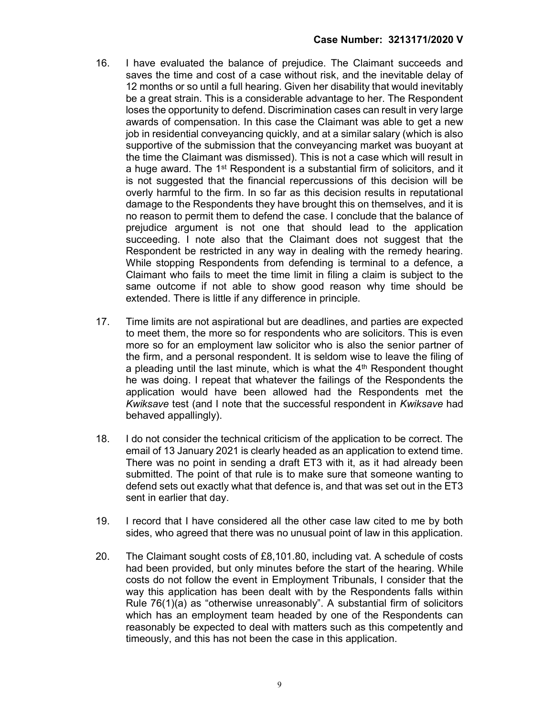- 16. I have evaluated the balance of prejudice. The Claimant succeeds and saves the time and cost of a case without risk, and the inevitable delay of 12 months or so until a full hearing. Given her disability that would inevitably be a great strain. This is a considerable advantage to her. The Respondent loses the opportunity to defend. Discrimination cases can result in very large awards of compensation. In this case the Claimant was able to get a new job in residential conveyancing quickly, and at a similar salary (which is also supportive of the submission that the conveyancing market was buoyant at the time the Claimant was dismissed). This is not a case which will result in a huge award. The 1<sup>st</sup> Respondent is a substantial firm of solicitors, and it is not suggested that the financial repercussions of this decision will be overly harmful to the firm. In so far as this decision results in reputational damage to the Respondents they have brought this on themselves, and it is no reason to permit them to defend the case. I conclude that the balance of prejudice argument is not one that should lead to the application succeeding. I note also that the Claimant does not suggest that the Respondent be restricted in any way in dealing with the remedy hearing. While stopping Respondents from defending is terminal to a defence, a Claimant who fails to meet the time limit in filing a claim is subject to the same outcome if not able to show good reason why time should be extended. There is little if any difference in principle.
- 17. Time limits are not aspirational but are deadlines, and parties are expected to meet them, the more so for respondents who are solicitors. This is even more so for an employment law solicitor who is also the senior partner of the firm, and a personal respondent. It is seldom wise to leave the filing of a pleading until the last minute, which is what the 4<sup>th</sup> Respondent thought he was doing. I repeat that whatever the failings of the Respondents the application would have been allowed had the Respondents met the Kwiksave test (and I note that the successful respondent in Kwiksave had behaved appallingly).
- 18. I do not consider the technical criticism of the application to be correct. The email of 13 January 2021 is clearly headed as an application to extend time. There was no point in sending a draft ET3 with it, as it had already been submitted. The point of that rule is to make sure that someone wanting to defend sets out exactly what that defence is, and that was set out in the ET3 sent in earlier that day.
- 19. I record that I have considered all the other case law cited to me by both sides, who agreed that there was no unusual point of law in this application.
- 20. The Claimant sought costs of £8,101.80, including vat. A schedule of costs had been provided, but only minutes before the start of the hearing. While costs do not follow the event in Employment Tribunals, I consider that the way this application has been dealt with by the Respondents falls within Rule 76(1)(a) as "otherwise unreasonably". A substantial firm of solicitors which has an employment team headed by one of the Respondents can reasonably be expected to deal with matters such as this competently and timeously, and this has not been the case in this application.